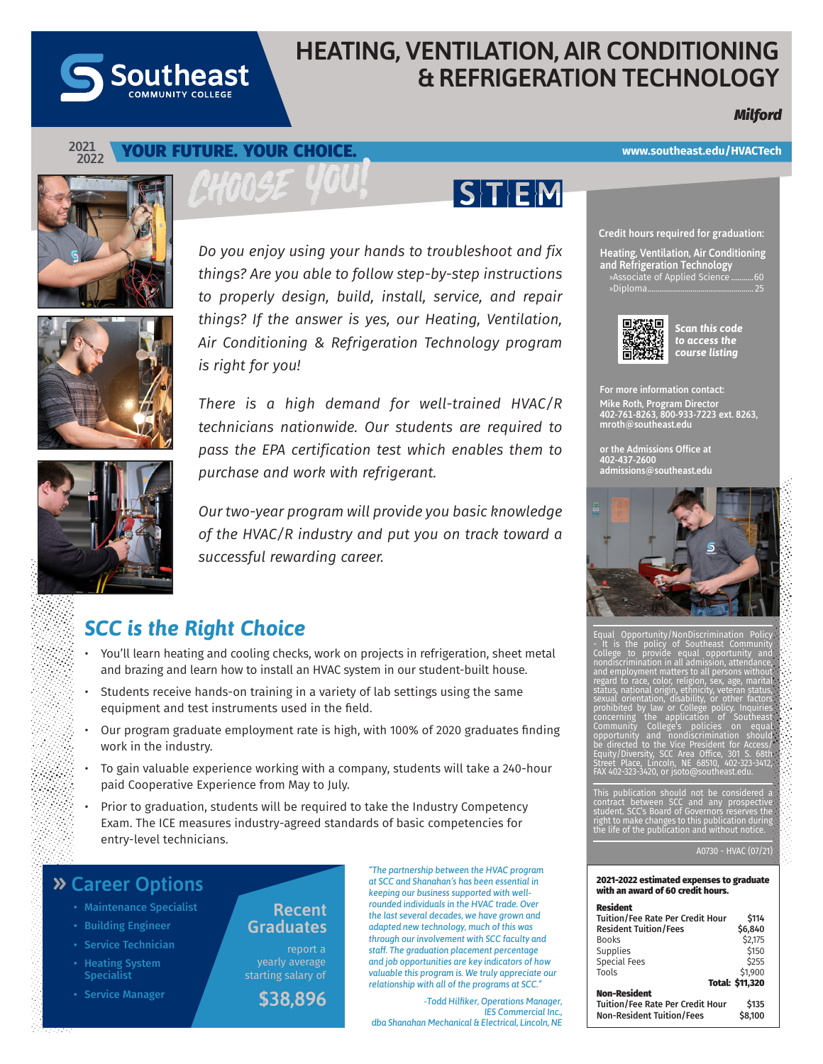

# **HEATING, VENTILATION, AIR CONDITIONING & REFRIGERATION TECHNOLOGY**

 $|\mathsf{S}|\mathsf{T}|\mathsf{E}|\mathsf{M}|$ 

## *Milford*

#### **2021 2022** YOUR FUTURE. YOUR CHOICE.







*There is a high demand for well-trained HVAC/R technicians nationwide. Our students are required to pass the EPA certification test which enables them to purchase and work with refrigerant.* 

*Our two-year program will provide you basic knowledge of the HVAC/R industry and put you on track toward a successful rewarding career.*

# *SCC is the Right Choice*

- You'll learn heating and cooling checks, work on projects in refrigeration, sheet metal and brazing and learn how to install an HVAC system in our student-built house.
- Students receive hands-on training in a variety of lab settings using the same equipment and test instruments used in the field.
- Our program graduate employment rate is high, with 100% of 2020 graduates finding work in the industry.
- To gain valuable experience working with a company, students will take a 240-hour paid Cooperative Experience from May to July.
- Prior to graduation, students will be required to take the Industry Competency Exam. The ICE measures industry-agreed standards of basic competencies for entry-level technicians.

### **» Career Options**

- Maintenance Specialist
- Building Engineer
- Service Technician
- Heating System **Specialist**

• Service Manager

**Recent Graduates** 

report a yearly average starting salary of

**\$38,896**

*"The partnership between the HVAC program at SCC and Shanahan's has been essential in keeping our business supported with wellrounded individuals in the HVAC trade. Over the last several decades, we have grown and adapted new technology, much of this was through our involvement with SCC faculty and staff. The graduation placement percentage and job opportunities are key indicators of how valuable this program is. We truly appreciate our relationship with all of the programs at SCC."*

 *-Todd Hilfiker, Operations Manager, IES Commercial Inc., dba Shanahan Mechanical & Electrical, Lincoln, NE*

### **www.southeast.edu/HVACTech**

**Credit hours required for graduation:**

**Heating, Ventilation, Air Conditioning and Refrigeration Technology** »Associate of Applied Science ...........60 »Diploma....................................................25



#### *Scan this code to access the course listing*

For more information contact: Mike Roth, Program Director 402-761-8263, 800-933-7223 ext. 8263, mroth@southeast.edu

or the Admissions Office at 402-437-2600 admissions@southeast.edu



Equal Opportunity/NonDiscrimination Policy<br>- It is the policy of Southeast Community<br>College to provide equal opportunity and<br>nondiscrimination in all admission, attendance,<br>and employment matters to all persons without rproyment m<br>to race, colo status, national origin, ethnicity, veteran status, sexual orientation, disability, or other factors prohibited by law or College policy. Inquiries concerning the application of Southeast Community College's policies on equal opportunity and nondiscrimination should be directed to the Vice President for Access/<br>Equity/Diversity, SCC Area Office, 301 S. 68th<br>Street Place, Lincoln, NE 68510, 402-323-3412,<br>FAX 402-323-3420, or jsoto@southeast.edu.

This publication should not be considered a<br>contract between SCC and any prospective<br>student. SCC's Board of Governors reserves the<br>right to make changes to this publication during<br>the life of the publication and without n

#### A0730 - HVAC (07/21)

#### 2021-2022 estimated expenses to graduate with an award of 60 credit hours.

### **Resident**<br>Tuition/

| <b>Tuition/Fee Rate Per Credit Hour</b> | \$114           |
|-----------------------------------------|-----------------|
| <b>Resident Tuition/Fees</b>            | \$6.840         |
| <b>Books</b>                            | \$2,175         |
| Supplies                                | \$150           |
| <b>Special Fees</b>                     | \$255           |
| Tools                                   | \$1.900         |
|                                         | Total: \$11,320 |
| <b>Non-Resident</b>                     |                 |
| <b>Tuition/Fee Rate Per Credit Hour</b> | \$135           |
| <b>Non-Resident Tuition/Fees</b>        | \$8,100         |